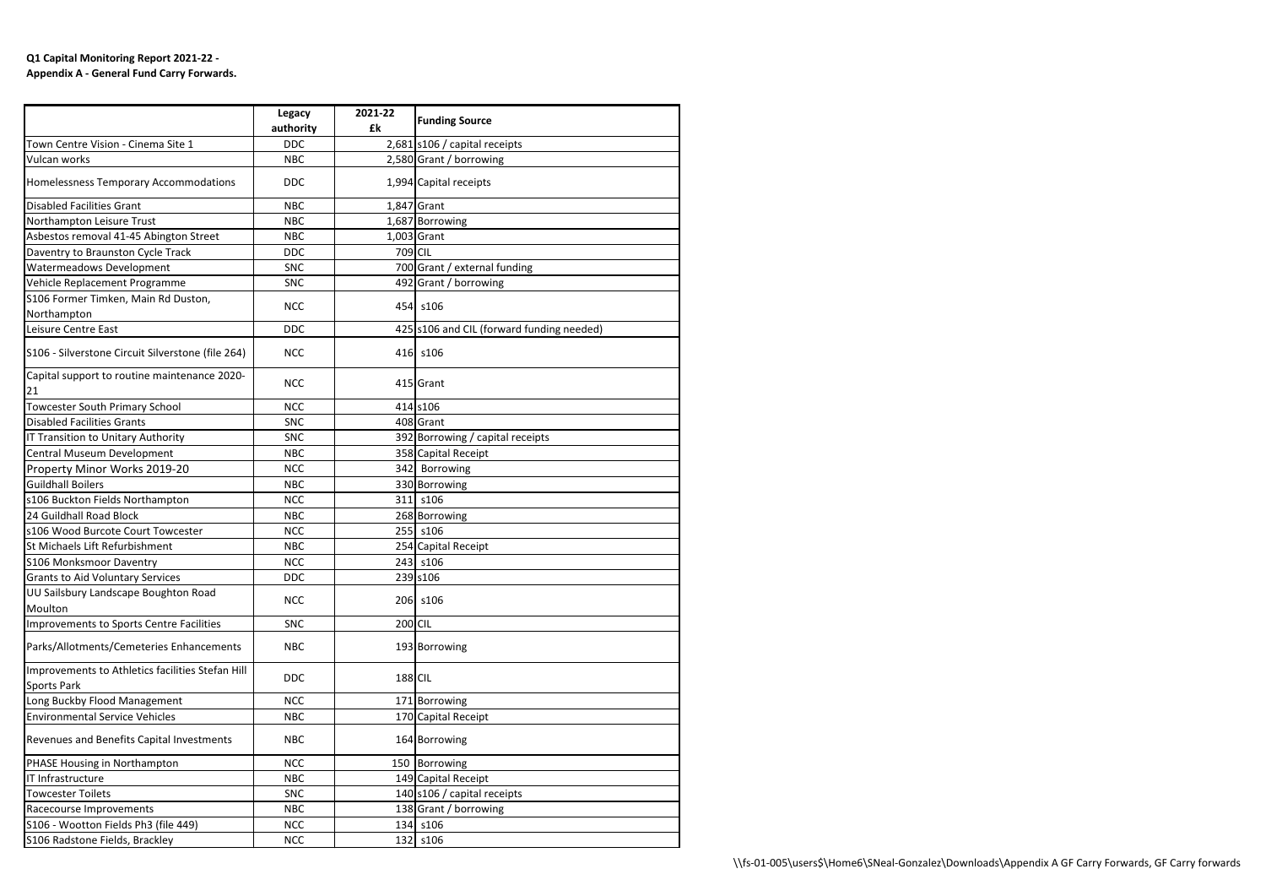## **Q1 Capital Monitoring Report 2021-22 - Appendix A - General Fund Carry Forwards.**

|                                                    | Legacy     | 2021-22 |                                           |
|----------------------------------------------------|------------|---------|-------------------------------------------|
|                                                    | authority  | £k      | <b>Funding Source</b>                     |
| Town Centre Vision - Cinema Site 1                 | <b>DDC</b> |         | 2,681 s106 / capital receipts             |
| Vulcan works                                       | <b>NBC</b> |         | 2,580 Grant / borrowing                   |
| Homelessness Temporary Accommodations              | <b>DDC</b> |         | 1,994 Capital receipts                    |
| <b>Disabled Facilities Grant</b>                   | <b>NBC</b> |         | 1,847 Grant                               |
| Northampton Leisure Trust                          | <b>NBC</b> |         | 1,687 Borrowing                           |
| Asbestos removal 41-45 Abington Street             | <b>NBC</b> |         | $1,003$ Grant                             |
| Daventry to Braunston Cycle Track                  | <b>DDC</b> | 709 CIL |                                           |
| Watermeadows Development                           | <b>SNC</b> |         | 700 Grant / external funding              |
| Vehicle Replacement Programme                      | <b>SNC</b> |         | 492 Grant / borrowing                     |
| S106 Former Timken, Main Rd Duston,                |            |         |                                           |
| Northampton                                        | <b>NCC</b> |         | 454 s106                                  |
| Leisure Centre East                                | <b>DDC</b> |         | 425 s106 and CIL (forward funding needed) |
| S106 - Silverstone Circuit Silverstone (file 264)  | <b>NCC</b> |         | 416 s106                                  |
| Capital support to routine maintenance 2020-<br>21 | <b>NCC</b> |         | 415 Grant                                 |
| <b>Towcester South Primary School</b>              | <b>NCC</b> |         | 414 s106                                  |
| <b>Disabled Facilities Grants</b>                  | <b>SNC</b> |         | 408 Grant                                 |
| IT Transition to Unitary Authority                 | <b>SNC</b> |         | 392 Borrowing / capital receipts          |
| Central Museum Development                         | <b>NBC</b> |         | 358 Capital Receipt                       |
| Property Minor Works 2019-20                       | <b>NCC</b> |         | 342 Borrowing                             |
| <b>Guildhall Boilers</b>                           | <b>NBC</b> |         | 330 Borrowing                             |
| s106 Buckton Fields Northampton                    | <b>NCC</b> |         | 311 s106                                  |
| 24 Guildhall Road Block                            | <b>NBC</b> |         | 268 Borrowing                             |
| s106 Wood Burcote Court Towcester                  | <b>NCC</b> |         | 255 s106                                  |
| St Michaels Lift Refurbishment                     | <b>NBC</b> |         | 254 Capital Receipt                       |
| S106 Monksmoor Daventry                            | <b>NCC</b> |         | 243 s106                                  |
| <b>Grants to Aid Voluntary Services</b>            | <b>DDC</b> |         | 239 s106                                  |
| UU Sailsbury Landscape Boughton Road               |            |         |                                           |
| Moulton                                            | <b>NCC</b> |         | 206 s106                                  |
| Improvements to Sports Centre Facilities           | <b>SNC</b> | 200 CIL |                                           |
| Parks/Allotments/Cemeteries Enhancements           | <b>NBC</b> |         | 193 Borrowing                             |
| Improvements to Athletics facilities Stefan Hill   |            |         |                                           |
| <b>Sports Park</b>                                 | <b>DDC</b> | 188 CIL |                                           |
| Long Buckby Flood Management                       | <b>NCC</b> |         | 171 Borrowing                             |
| <b>Environmental Service Vehicles</b>              | <b>NBC</b> |         | 170 Capital Receipt                       |
| Revenues and Benefits Capital Investments          | <b>NBC</b> |         | 164 Borrowing                             |
| PHASE Housing in Northampton                       | <b>NCC</b> |         | 150 Borrowing                             |
| IT Infrastructure                                  | <b>NBC</b> |         | 149 Capital Receipt                       |
| <b>Towcester Toilets</b>                           | <b>SNC</b> |         | 140 s106 / capital receipts               |
| Racecourse Improvements                            | <b>NBC</b> |         | 138 Grant / borrowing                     |
| S106 - Wootton Fields Ph3 (file 449)               | <b>NCC</b> |         | 134 s106                                  |
| S106 Radstone Fields, Brackley                     | <b>NCC</b> |         | 132 s106                                  |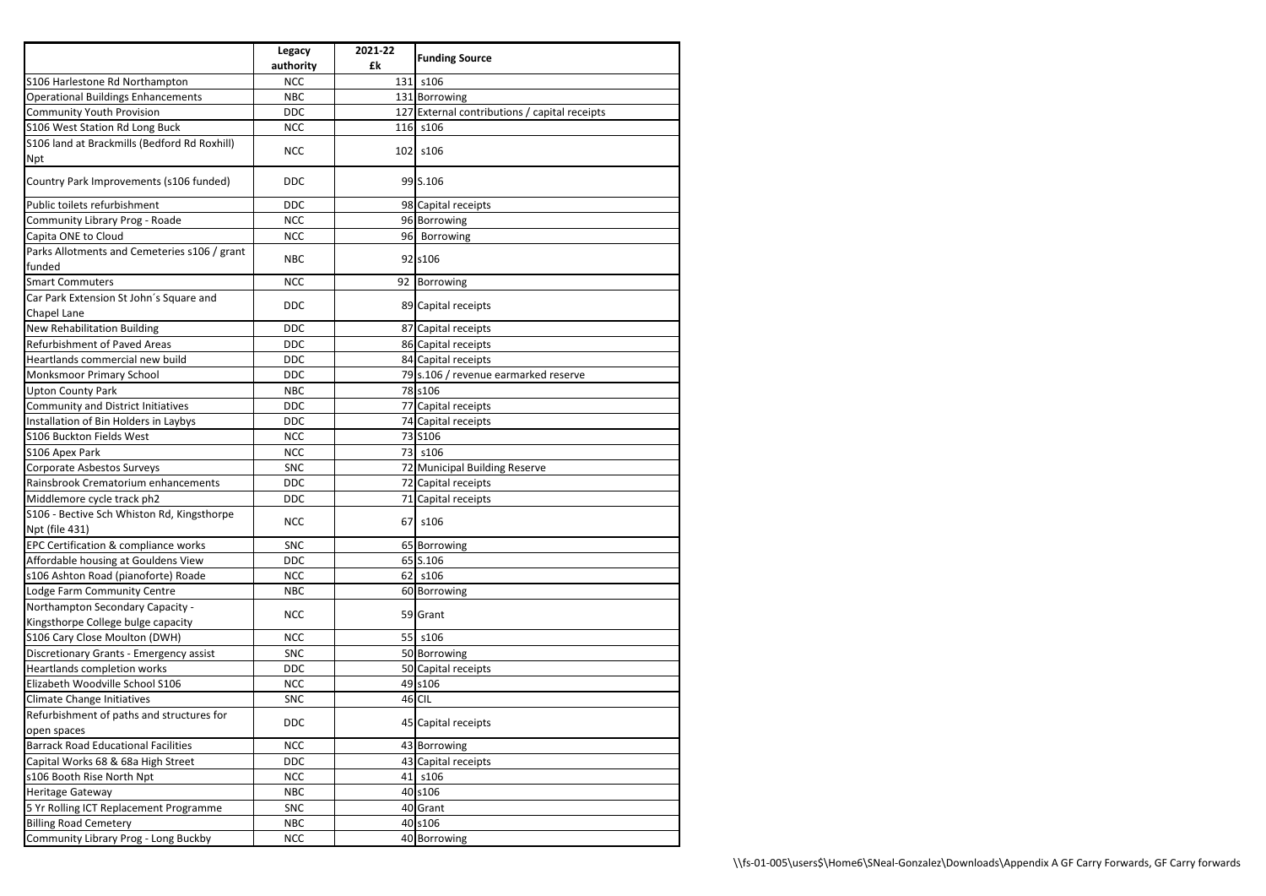|                                              | <b>Legacy</b> | 2021-22 | <b>Funding Source</b>                         |
|----------------------------------------------|---------------|---------|-----------------------------------------------|
|                                              | authority     | £k      |                                               |
| S106 Harlestone Rd Northampton               | <b>NCC</b>    |         | 131 s106                                      |
| <b>Operational Buildings Enhancements</b>    | <b>NBC</b>    |         | 131 Borrowing                                 |
| <b>Community Youth Provision</b>             | <b>DDC</b>    |         | 127 External contributions / capital receipts |
| S106 West Station Rd Long Buck               | <b>NCC</b>    |         | 116 s106                                      |
| S106 land at Brackmills (Bedford Rd Roxhill) | <b>NCC</b>    |         | 102 s106                                      |
| <b>Npt</b>                                   |               |         |                                               |
| Country Park Improvements (s106 funded)      | <b>DDC</b>    |         | 99 S.106                                      |
| Public toilets refurbishment                 | <b>DDC</b>    |         | 98 Capital receipts                           |
| Community Library Prog - Roade               | <b>NCC</b>    |         | 96 Borrowing                                  |
| Capita ONE to Cloud                          | <b>NCC</b>    |         | 96 Borrowing                                  |
| Parks Allotments and Cemeteries s106 / grant | <b>NBC</b>    |         | 92 s106                                       |
| funded                                       |               |         |                                               |
| <b>Smart Commuters</b>                       | <b>NCC</b>    |         | 92 Borrowing                                  |
| Car Park Extension St John's Square and      |               |         |                                               |
| <b>Chapel Lane</b>                           | <b>DDC</b>    |         | 89 Capital receipts                           |
| <b>New Rehabilitation Building</b>           | <b>DDC</b>    |         | 87 Capital receipts                           |
| <b>Refurbishment of Paved Areas</b>          | <b>DDC</b>    |         | 86 Capital receipts                           |
| Heartlands commercial new build              | <b>DDC</b>    |         | 84 Capital receipts                           |
| <b>Monksmoor Primary School</b>              | <b>DDC</b>    |         | 79 s.106 / revenue earmarked reserve          |
| <b>Upton County Park</b>                     | <b>NBC</b>    |         | 78 s106                                       |
| <b>Community and District Initiatives</b>    | <b>DDC</b>    |         | 77 Capital receipts                           |
| Installation of Bin Holders in Laybys        | <b>DDC</b>    |         | 74 Capital receipts                           |
| S106 Buckton Fields West                     | <b>NCC</b>    |         | 73 S106                                       |
| S106 Apex Park                               | <b>NCC</b>    |         | 73 s106                                       |
| Corporate Asbestos Surveys                   | <b>SNC</b>    |         | 72 Municipal Building Reserve                 |
| Rainsbrook Crematorium enhancements          | <b>DDC</b>    |         | 72 Capital receipts                           |
| Middlemore cycle track ph2                   | <b>DDC</b>    |         | 71 Capital receipts                           |
| S106 - Bective Sch Whiston Rd, Kingsthorpe   |               |         |                                               |
| <b>Npt (file 431)</b>                        | <b>NCC</b>    |         | 67   s106                                     |
| EPC Certification & compliance works         | <b>SNC</b>    |         | 65 Borrowing                                  |
| Affordable housing at Gouldens View          | <b>DDC</b>    |         | 65 S.106                                      |
| s106 Ashton Road (pianoforte) Roade          | <b>NCC</b>    |         | 62 s106                                       |
| Lodge Farm Community Centre                  | <b>NBC</b>    |         | 60 Borrowing                                  |
| Northampton Secondary Capacity -             |               |         |                                               |
| Kingsthorpe College bulge capacity           | <b>NCC</b>    |         | 59 Grant                                      |
| S106 Cary Close Moulton (DWH)                | <b>NCC</b>    |         | 55 s106                                       |
| Discretionary Grants - Emergency assist      | <b>SNC</b>    |         | 50 Borrowing                                  |
| Heartlands completion works                  | <b>DDC</b>    |         | 50 Capital receipts                           |
| Elizabeth Woodville School S106              | <b>NCC</b>    |         | 49 s106                                       |
| Climate Change Initiatives                   | SNC           |         | 46 CIL                                        |
| Refurbishment of paths and structures for    |               |         |                                               |
| open spaces                                  | <b>DDC</b>    |         | 45 Capital receipts                           |
| <b>Barrack Road Educational Facilities</b>   | <b>NCC</b>    |         | 43 Borrowing                                  |
| Capital Works 68 & 68a High Street           | <b>DDC</b>    |         | 43 Capital receipts                           |
| s106 Booth Rise North Npt                    | <b>NCC</b>    |         | 41 s106                                       |
| <b>Heritage Gateway</b>                      | <b>NBC</b>    |         | 40 s106                                       |
| 5 Yr Rolling ICT Replacement Programme       | <b>SNC</b>    |         | 40 Grant                                      |
| <b>Billing Road Cemetery</b>                 | <b>NBC</b>    |         | 40 s106                                       |
| Community Library Prog - Long Buckby         | <b>NCC</b>    |         | 40 Borrowing                                  |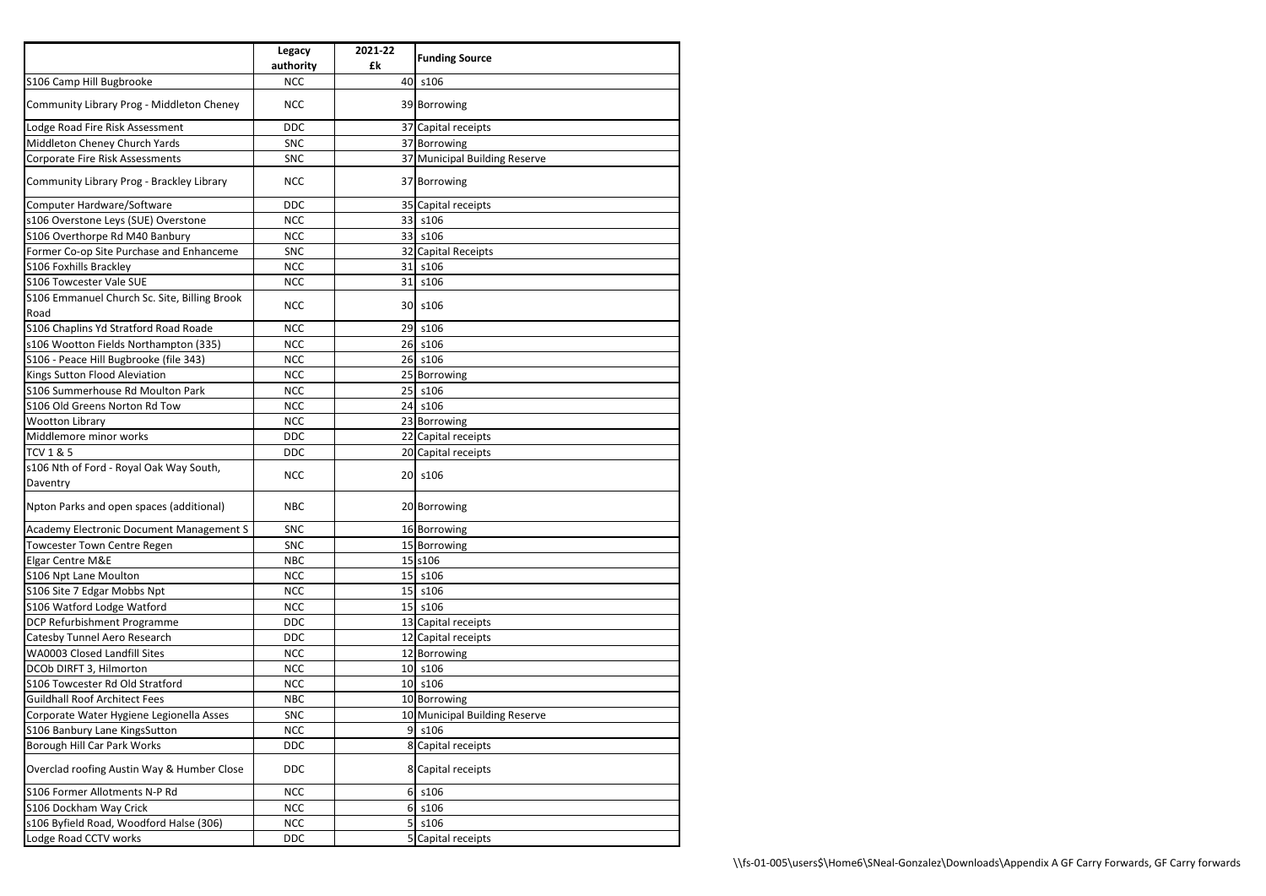|                                                      | <b>Legacy</b><br>authority | 2021-22<br>£k | <b>Funding Source</b>         |
|------------------------------------------------------|----------------------------|---------------|-------------------------------|
| S106 Camp Hill Bugbrooke                             | <b>NCC</b>                 |               | 40 s106                       |
| Community Library Prog - Middleton Cheney            | <b>NCC</b>                 |               | 39 Borrowing                  |
| Lodge Road Fire Risk Assessment                      | <b>DDC</b>                 |               | 37 Capital receipts           |
| Middleton Cheney Church Yards                        | <b>SNC</b>                 |               | 37 Borrowing                  |
| <b>Corporate Fire Risk Assessments</b>               | <b>SNC</b>                 |               | 37 Municipal Building Reserve |
| Community Library Prog - Brackley Library            | <b>NCC</b>                 |               | 37 Borrowing                  |
| Computer Hardware/Software                           | <b>DDC</b>                 |               | 35 Capital receipts           |
| s106 Overstone Leys (SUE) Overstone                  | <b>NCC</b>                 |               | 33 s106                       |
| S106 Overthorpe Rd M40 Banbury                       | <b>NCC</b>                 |               | 33 s106                       |
| Former Co-op Site Purchase and Enhanceme             | <b>SNC</b>                 |               | 32 Capital Receipts           |
| S106 Foxhills Brackley                               | <b>NCC</b>                 |               | 31 s106                       |
| S106 Towcester Vale SUE                              | <b>NCC</b>                 |               | 31 s106                       |
| S106 Emmanuel Church Sc. Site, Billing Brook<br>Road | <b>NCC</b>                 |               | 30 s106                       |
| S106 Chaplins Yd Stratford Road Roade                | <b>NCC</b>                 |               | 29 s106                       |
| s106 Wootton Fields Northampton (335)                | <b>NCC</b>                 |               | 26 s106                       |
| S106 - Peace Hill Bugbrooke (file 343)               | <b>NCC</b>                 |               | 26 s106                       |
| Kings Sutton Flood Aleviation                        | <b>NCC</b>                 |               |                               |
| S106 Summerhouse Rd Moulton Park                     | <b>NCC</b>                 |               | 25 Borrowing<br>25 s106       |
| S106 Old Greens Norton Rd Tow                        | <b>NCC</b>                 |               | 24 s106                       |
|                                                      |                            |               |                               |
| <b>Wootton Library</b>                               | <b>NCC</b>                 |               | 23 Borrowing                  |
| Middlemore minor works                               | <b>DDC</b>                 |               | 22 Capital receipts           |
| <b>TCV 1 &amp; 5</b>                                 | <b>DDC</b>                 |               | 20 Capital receipts           |
| s106 Nth of Ford - Royal Oak Way South,<br>Daventry  | <b>NCC</b>                 |               | 20 s106                       |
| Npton Parks and open spaces (additional)             | <b>NBC</b>                 |               | 20 Borrowing                  |
| Academy Electronic Document Management S             | <b>SNC</b>                 |               | 16 Borrowing                  |
| Towcester Town Centre Regen                          | <b>SNC</b>                 |               | 15 Borrowing                  |
| <b>Elgar Centre M&amp;E</b>                          | <b>NBC</b>                 |               | 15 s106                       |
| S106 Npt Lane Moulton                                | <b>NCC</b>                 |               | 15 s106                       |
| S106 Site 7 Edgar Mobbs Npt                          | <b>NCC</b>                 |               | 15 s106                       |
| S106 Watford Lodge Watford                           | <b>NCC</b>                 |               | 15 s106                       |
| DCP Refurbishment Programme                          | <b>DDC</b>                 |               | 13 Capital receipts           |
| Catesby Tunnel Aero Research                         | <b>DDC</b>                 |               | 12 Capital receipts           |
| WA0003 Closed Landfill Sites                         | <b>NCC</b>                 |               | 12 Borrowing                  |
| DCOb DIRFT 3, Hilmorton                              | <b>NCC</b>                 |               | 10 s106                       |
| S106 Towcester Rd Old Stratford                      | <b>NCC</b>                 |               | 10 s106                       |
| <b>Guildhall Roof Architect Fees</b>                 | <b>NBC</b>                 |               | 10 Borrowing                  |
| Corporate Water Hygiene Legionella Asses             | <b>SNC</b>                 |               | 10 Municipal Building Reserve |
| S106 Banbury Lane KingsSutton                        | <b>NCC</b>                 |               | $9$ s106                      |
| Borough Hill Car Park Works                          | <b>DDC</b>                 |               | 8 Capital receipts            |
| Overclad roofing Austin Way & Humber Close           | <b>DDC</b>                 |               | 8 Capital receipts            |
| S106 Former Allotments N-P Rd                        | <b>NCC</b>                 |               | $6$ s106                      |
| S106 Dockham Way Crick                               | <b>NCC</b>                 |               | $6$ s106                      |
| s106 Byfield Road, Woodford Halse (306)              | <b>NCC</b>                 |               | $5$ s106                      |
| Lodge Road CCTV works                                | <b>DDC</b>                 |               | 5 Capital receipts            |